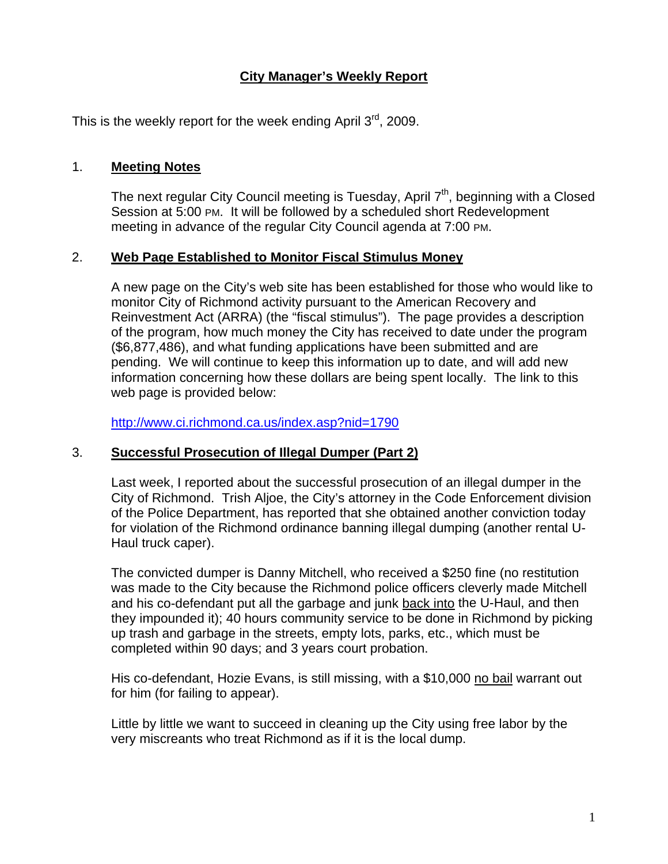# **City Manager's Weekly Report**

This is the weekly report for the week ending April  $3^{rd}$ , 2009.

### 1. **Meeting Notes**

The next regular City Council meeting is Tuesday, April  $7<sup>th</sup>$ , beginning with a Closed Session at 5:00 PM. It will be followed by a scheduled short Redevelopment meeting in advance of the regular City Council agenda at 7:00 PM.

### 2. **Web Page Established to Monitor Fiscal Stimulus Money**

A new page on the City's web site has been established for those who would like to monitor City of Richmond activity pursuant to the American Recovery and Reinvestment Act (ARRA) (the "fiscal stimulus"). The page provides a description of the program, how much money the City has received to date under the program (\$6,877,486), and what funding applications have been submitted and are pending. We will continue to keep this information up to date, and will add new information concerning how these dollars are being spent locally. The link to this web page is provided below:

<http://www.ci.richmond.ca.us/index.asp?nid=1790>

### 3. **Successful Prosecution of Illegal Dumper (Part 2)**

Last week, I reported about the successful prosecution of an illegal dumper in the City of Richmond. Trish Aljoe, the City's attorney in the Code Enforcement division of the Police Department, has reported that she obtained another conviction today for violation of the Richmond ordinance banning illegal dumping (another rental U-Haul truck caper).

The convicted dumper is Danny Mitchell, who received a \$250 fine (no restitution was made to the City because the Richmond police officers cleverly made Mitchell and his co-defendant put all the garbage and junk back into the U-Haul, and then they impounded it); 40 hours community service to be done in Richmond by picking up trash and garbage in the streets, empty lots, parks, etc., which must be completed within 90 days; and 3 years court probation.

His co-defendant, Hozie Evans, is still missing, with a \$10,000 no bail warrant out for him (for failing to appear).

Little by little we want to succeed in cleaning up the City using free labor by the very miscreants who treat Richmond as if it is the local dump.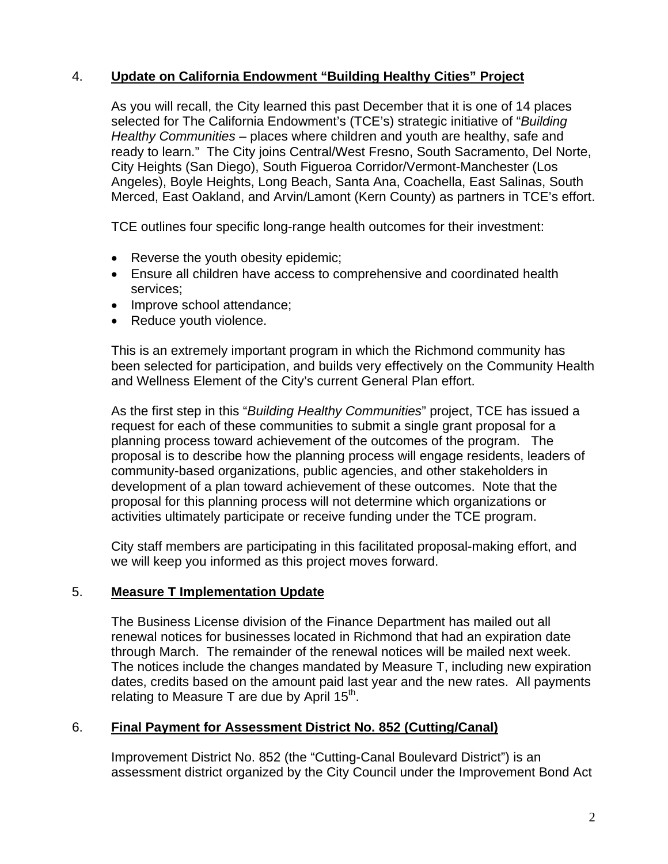# 4. **Update on California Endowment "Building Healthy Cities" Project**

As you will recall, the City learned this past December that it is one of 14 places selected for The California Endowment's (TCE's) strategic initiative of "*Building Healthy Communities* – places where children and youth are healthy, safe and ready to learn." The City joins Central/West Fresno, South Sacramento, Del Norte, City Heights (San Diego), South Figueroa Corridor/Vermont-Manchester (Los Angeles), Boyle Heights, Long Beach, Santa Ana, Coachella, East Salinas, South Merced, East Oakland, and Arvin/Lamont (Kern County) as partners in TCE's effort.

TCE outlines four specific long-range health outcomes for their investment:

- Reverse the youth obesity epidemic;
- Ensure all children have access to comprehensive and coordinated health services;
- Improve school attendance;
- Reduce youth violence.

This is an extremely important program in which the Richmond community has been selected for participation, and builds very effectively on the Community Health and Wellness Element of the City's current General Plan effort.

As the first step in this "*Building Healthy Communities*" project, TCE has issued a request for each of these communities to submit a single grant proposal for a planning process toward achievement of the outcomes of the program. The proposal is to describe how the planning process will engage residents, leaders of community-based organizations, public agencies, and other stakeholders in development of a plan toward achievement of these outcomes. Note that the proposal for this planning process will not determine which organizations or activities ultimately participate or receive funding under the TCE program.

City staff members are participating in this facilitated proposal-making effort, and we will keep you informed as this project moves forward.

### 5. **Measure T Implementation Update**

The Business License division of the Finance Department has mailed out all renewal notices for businesses located in Richmond that had an expiration date through March. The remainder of the renewal notices will be mailed next week. The notices include the changes mandated by Measure T, including new expiration dates, credits based on the amount paid last year and the new rates. All payments relating to Measure T are due by April  $15<sup>th</sup>$ .

## 6. **Final Payment for Assessment District No. 852 (Cutting/Canal)**

Improvement District No. 852 (the "Cutting-Canal Boulevard District") is an assessment district organized by the City Council under the Improvement Bond Act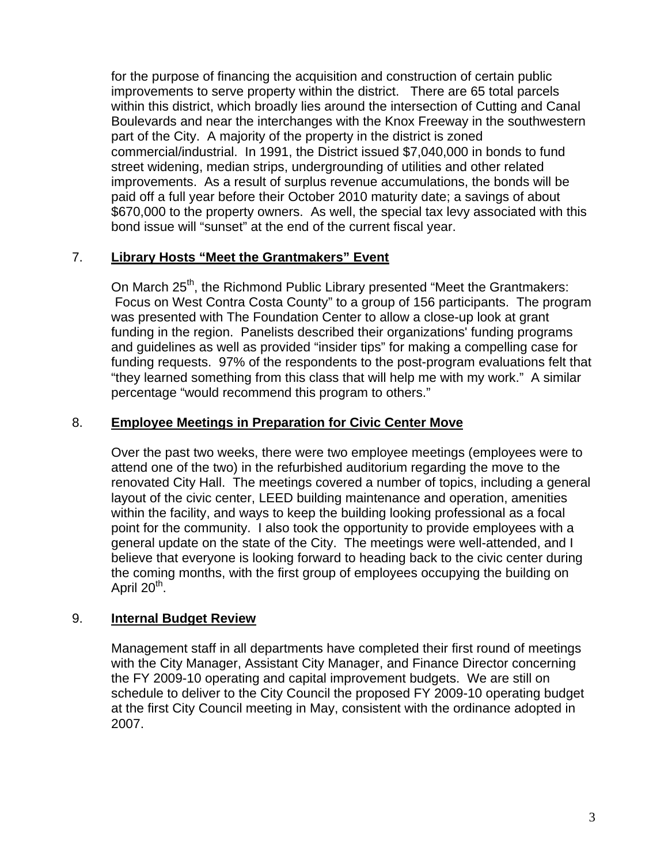for the purpose of financing the acquisition and construction of certain public improvements to serve property within the district. There are 65 total parcels within this district, which broadly lies around the intersection of Cutting and Canal Boulevards and near the interchanges with the Knox Freeway in the southwestern part of the City. A majority of the property in the district is zoned commercial/industrial. In 1991, the District issued \$7,040,000 in bonds to fund street widening, median strips, undergrounding of utilities and other related improvements. As a result of surplus revenue accumulations, the bonds will be paid off a full year before their October 2010 maturity date; a savings of about \$670,000 to the property owners. As well, the special tax levy associated with this bond issue will "sunset" at the end of the current fiscal year.

## 7. **Library Hosts "Meet the Grantmakers" Event**

On March 25<sup>th</sup>, the Richmond Public Library presented "Meet the Grantmakers: Focus on West Contra Costa County" to a group of 156 participants. The program was presented with The Foundation Center to allow a close-up look at grant funding in the region. Panelists described their organizations' funding programs and guidelines as well as provided "insider tips" for making a compelling case for funding requests. 97% of the respondents to the post-program evaluations felt that "they learned something from this class that will help me with my work." A similar percentage "would recommend this program to others."

### 8. **Employee Meetings in Preparation for Civic Center Move**

Over the past two weeks, there were two employee meetings (employees were to attend one of the two) in the refurbished auditorium regarding the move to the renovated City Hall. The meetings covered a number of topics, including a general layout of the civic center, LEED building maintenance and operation, amenities within the facility, and ways to keep the building looking professional as a focal point for the community. I also took the opportunity to provide employees with a general update on the state of the City. The meetings were well-attended, and I believe that everyone is looking forward to heading back to the civic center during the coming months, with the first group of employees occupying the building on April 20<sup>th</sup>.

### 9. **Internal Budget Review**

Management staff in all departments have completed their first round of meetings with the City Manager, Assistant City Manager, and Finance Director concerning the FY 2009-10 operating and capital improvement budgets. We are still on schedule to deliver to the City Council the proposed FY 2009-10 operating budget at the first City Council meeting in May, consistent with the ordinance adopted in 2007.